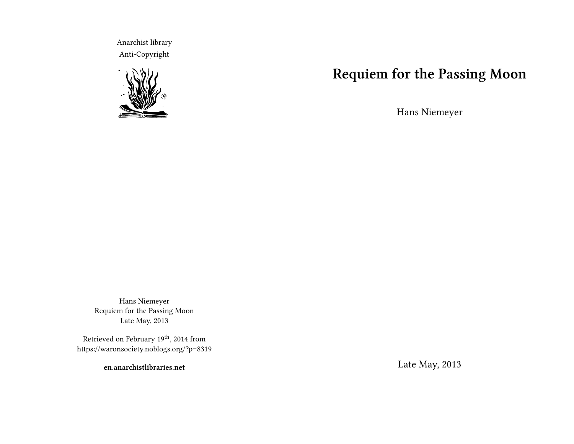Anarchist library Anti-Copyright



# **Requiem for the Passing Moon**

Hans Niemeyer

Hans Niemeyer Requiem for the Passing Moon Late May, 2013

Retrieved on February  $19^{\rm th},$  2014 from https://waronsociety.noblogs.org/?p=8319

**en.anarchistlibraries.net**

Late May, 2013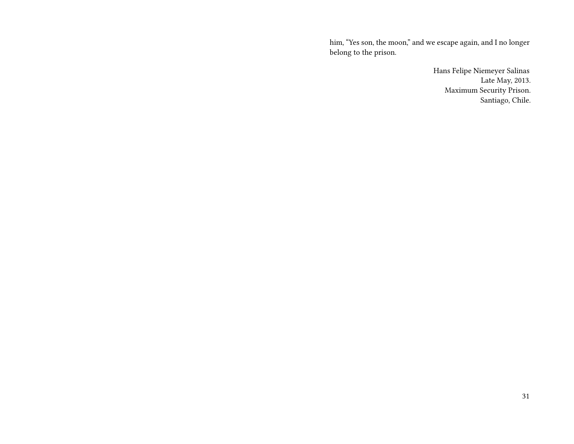him, "Yes son, the moon," and we escape again, and I no longer belong to the prison.

> Hans Felipe Niemeyer Salinas Late May, 2013. Maximum Security Prison. Santiago, Chile.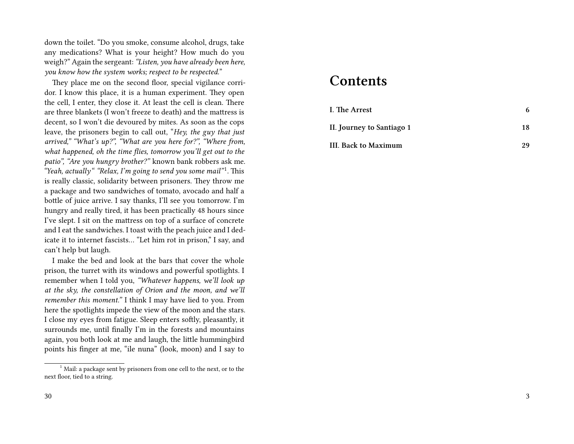down the toilet. "Do you smoke, consume alcohol, drugs, take any medications? What is your height? How much do you weigh?" Again the sergeant: *"Listen, you have already been here, you know how the system works; respect to be respected.*"

They place me on the second floor, special vigilance corridor. I know this place, it is a human experiment. They open the cell, I enter, they close it. At least the cell is clean. There are three blankets (I won't freeze to death) and the mattress is decent, so I won't die devoured by mites. As soon as the cops leave, the prisoners begin to call out, "*Hey, the guy that just arrived," "What's up?", "What are you here for?", "Where from, what happened, oh the time flies, tomorrow you'll get out to the patio", "Are you hungry brother?"* known bank robbers ask me. "Yeah, actually" "Relax, I'm going to send you some mail"<sup>1</sup>. This is really classic, solidarity between prisoners. They throw me a package and two sandwiches of tomato, avocado and half a bottle of juice arrive. I say thanks, I'll see you tomorrow. I'm hungry and really tired, it has been practically 48 hours since I've slept. I sit on the mattress on top of a surface of concrete and I eat the sandwiches. I toast with the peach juice and I dedicate it to internet fascists… "Let him rot in prison," I say, and can't help but laugh.

I make the bed and look at the bars that cover the whole prison, the turret with its windows and powerful spotlights. I remember when I told you, *"Whatever happens, we'll look up at the sky, the constellation of Orion and the moon, and we'll remember this moment."* I think I may have lied to you. From here the spotlights impede the view of the moon and the stars. I close my eyes from fatigue. Sleep enters softly, pleasantly, it surrounds me, until finally I'm in the forests and mountains again, you both look at me and laugh, the little hummingbird points his finger at me, "ile nuna" (look, moon) and I say to

#### **Contents**

| I. The Arrest             | 6  |
|---------------------------|----|
| II. Journey to Santiago 1 | 18 |
| III. Back to Maximum      | 29 |

<sup>&</sup>lt;sup>1</sup> Mail: a package sent by prisoners from one cell to the next, or to the next floor, tied to a string.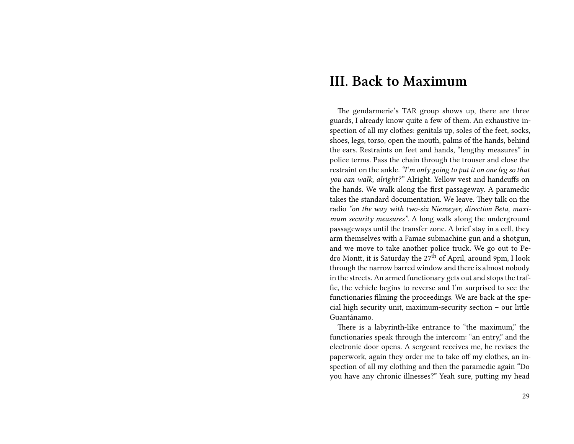### **III. Back to Maximum**

The gendarmerie's TAR group shows up, there are three guards, I already know quite a few of them. An exhaustive inspection of all my clothes: genitals up, soles of the feet, socks, shoes, legs, torso, open the mouth, palms of the hands, behind the ears. Restraints on feet and hands, "lengthy measures" in police terms. Pass the chain through the trouser and close the restraint on the ankle. *"I'm only going to put it on one leg so that you can walk, alright?"* Alright. Yellow vest and handcuffs on the hands. We walk along the first passageway. A paramedic takes the standard documentation. We leave. They talk on the radio *"on the way with two-six Niemeyer, direction Beta, maximum security measures"*. A long walk along the underground passageways until the transfer zone. A brief stay in a cell, they arm themselves with a Famae submachine gun and a shotgun, and we move to take another police truck. We go out to Pedro Montt, it is Saturday the  $27<sup>th</sup>$  of April, around 9pm, I look through the narrow barred window and there is almost nobody in the streets. An armed functionary gets out and stops the traffic, the vehicle begins to reverse and I'm surprised to see the functionaries filming the proceedings. We are back at the special high security unit, maximum-security section – our little Guantánamo.

There is a labyrinth-like entrance to "the maximum," the functionaries speak through the intercom: "an entry," and the electronic door opens. A sergeant receives me, he revises the paperwork, again they order me to take off my clothes, an inspection of all my clothing and then the paramedic again "Do you have any chronic illnesses?" Yeah sure, putting my head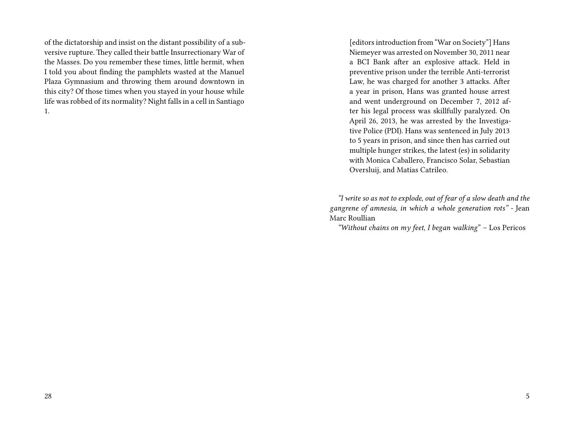of the dictatorship and insist on the distant possibility of a subversive rupture. They called their battle Insurrectionary War of the Masses. Do you remember these times, little hermit, when I told you about finding the pamphlets wasted at the Manuel Plaza Gymnasium and throwing them around downtown in this city? Of those times when you stayed in your house while life was robbed of its normality? Night falls in a cell in Santiago 1.

[editors introduction from "War on Society"] Hans Niemeyer was arrested on November 30, 2011 near a BCI Bank after an explosive attack. Held in preventive prison under the terrible Anti-terrorist Law, he was charged for another 3 attacks. After a year in prison, Hans was granted house arrest and went underground on December 7, 2012 after his legal process was skillfully paralyzed. On April 26, 2013, he was arrested by the Investigative Police (PDI). Hans was sentenced in July 2013 to 5 years in prison, and since then has carried out multiple hunger strikes, the latest (es) in solidarity with Monica Caballero, Francisco Solar, Sebastian Oversluij, and Matias Catrileo.

*"I write so as not to explode, out of fear of a slow death and the gangrene of amnesia, in which a whole generation rots" -* Jean Marc Roullian

*"Without chains on my feet, I began walking*" – Los Pericos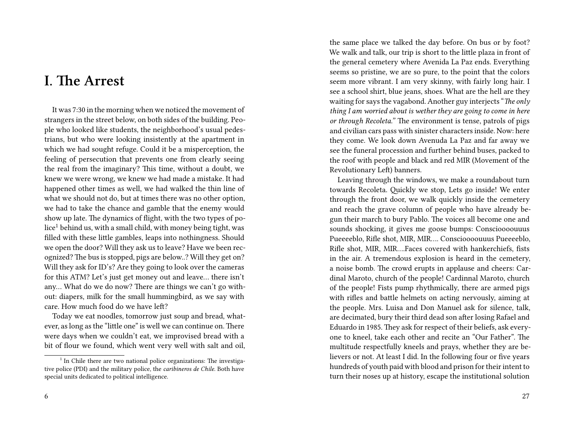# **I. The Arrest**

It was 7:30 in the morning when we noticed the movement of strangers in the street below, on both sides of the building. People who looked like students, the neighborhood's usual pedestrians, but who were looking insistently at the apartment in which we had sought refuge. Could it be a misperception, the feeling of persecution that prevents one from clearly seeing the real from the imaginary? This time, without a doubt, we knew we were wrong, we knew we had made a mistake. It had happened other times as well, we had walked the thin line of what we should not do, but at times there was no other option, we had to take the chance and gamble that the enemy would show up late. The dynamics of flight, with the two types of po $lice<sup>1</sup>$  behind us, with a small child, with money being tight, was filled with these little gambles, leaps into nothingness. Should we open the door? Will they ask us to leave? Have we been recognized? The bus is stopped, pigs are below..? Will they get on? Will they ask for ID's? Are they going to look over the cameras for this ATM? Let's just get money out and leave… there isn't any… What do we do now? There are things we can't go without: diapers, milk for the small hummingbird, as we say with care. How much food do we have left?

Today we eat noodles, tomorrow just soup and bread, whatever, as long as the "little one" is well we can continue on. There were days when we couldn't eat, we improvised bread with a bit of flour we found, which went very well with salt and oil,

the same place we talked the day before. On bus or by foot? We walk and talk, our trip is short to the little plaza in front of the general cemetery where Avenida La Paz ends. Everything seems so pristine, we are so pure, to the point that the colors seem more vibrant. I am very skinny, with fairly long hair. I see a school shirt, blue jeans, shoes. What are the hell are they waiting for says the vagabond. Another guy interjects "*The only thing I am worried about is wether they are going to come in here or through Recoleta."* The environment is tense, patrols of pigs and civilian cars pass with sinister characters inside. Now: here they come. We look down Avenuda La Paz and far away we see the funeral procession and further behind buses, packed to the roof with people and black and red MIR (Movement of the Revolutionary Left) banners.

Leaving through the windows, we make a roundabout turn towards Recoleta. Quickly we stop, Lets go inside! We enter through the front door, we walk quickly inside the cemetery and reach the grave column of people who have already begun their march to bury Pablo. The voices all become one and sounds shocking, it gives me goose bumps: Conscioooouuus Pueeeeblo, Rifle shot, MIR, MIR…. Conscioooouuus Pueeeeblo, Rifle shot, MIR, MIR….Faces covered with hankerchiefs, fists in the air. A tremendous explosion is heard in the cemetery, a noise bomb. The crowd erupts in applause and cheers: Cardinal Maroto, church of the people! Cardinnal Maroto, church of the people! Fists pump rhythmically, there are armed pigs with rifles and battle helmets on acting nervously, aiming at the people. Mrs. Luisa and Don Manuel ask for silence, talk, are decimated, bury their third dead son after losing Rafael and Eduardo in 1985. They ask for respect of their beliefs, ask everyone to kneel, take each other and recite an "Our Father". The multitude respectfully kneels and prays, whether they are believers or not. At least I did. In the following four or five years hundreds of youth paid with blood and prison for their intent to turn their noses up at history, escape the institutional solution

<sup>&</sup>lt;sup>1</sup> In Chile there are two national police organizations: The investigative police (PDI) and the military police, the *caribineros de Chile*. Both have special units dedicated to political intelligence.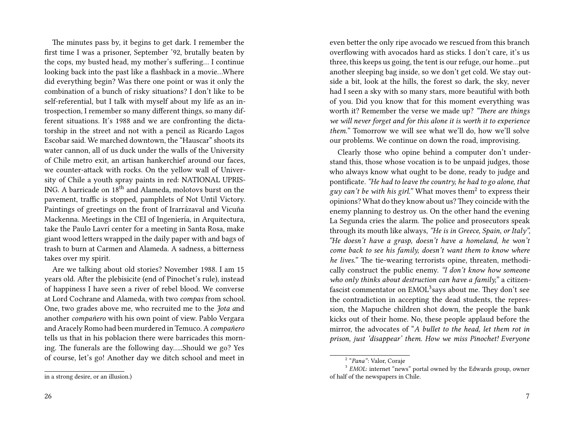The minutes pass by, it begins to get dark. I remember the first time I was a prisoner, September '92, brutally beaten by the cops, my busted head, my mother's suffering… I continue looking back into the past like a flashback in a movie…Where did everything begin? Was there one point or was it only the combination of a bunch of risky situations? I don't like to be self-referential, but I talk with myself about my life as an introspection, I remember so many different things, so many different situations. It's 1988 and we are confronting the dictatorship in the street and not with a pencil as Ricardo Lagos Escobar said. We marched downtown, the "Hauscar" shoots its water cannon, all of us duck under the walls of the University of Chile metro exit, an artisan hankerchief around our faces, we counter-attack with rocks. On the yellow wall of University of Chile a youth spray paints in red: NATIONAL UPRIS-ING. A barricade on 18th and Alameda, molotovs burst on the pavement, traffic is stopped, pamphlets of Not Until Victory. Paintings of greetings on the front of Irarrázaval and Vicuña Mackenna. Meetings in the CEI of Ingeniería, in Arquitectura, take the Paulo Lavrí center for a meeting in Santa Rosa, make giant wood letters wrapped in the daily paper with and bags of trash to burn at Carmen and Alameda. A sadness, a bitterness takes over my spirit.

Are we talking about old stories? November 1988. I am 15 years old. After the plebisicite (end of Pinochet's rule), instead of happiness I have seen a river of rebel blood. We converse at Lord Cochrane and Alameda, with two *compas* from school. One, two grades above me, who recruited me to the *Jota a*nd another *compañero* with his own point of view. Pablo Vergara and Aracely Romo had been murdered in Temuco. A*compañero* tells us that in his poblacion there were barricades this morning. The funerals are the following day…..Should we go? Yes of course, let's go! Another day we ditch school and meet in

even better the only ripe avocado we rescued from this branch overflowing with avocados hard as sticks. I don't care, it's us three, this keeps us going, the tent is our refuge, our home…put another sleeping bag inside, so we don't get cold. We stay outside a bit, look at the hills, the forest so dark, the sky, never had I seen a sky with so many stars, more beautiful with both of you. Did you know that for this moment everything was worth it? Remember the verse we made up? *"There are things we will never forget and for this alone it is worth it to experience them."* Tomorrow we will see what we'll do, how we'll solve our problems. We continue on down the road, improvising.

Clearly those who opine behind a computer don't understand this, those whose vocation is to be unpaid judges, those who always know what ought to be done, ready to judge and pontificate. *"He had to leave the country, he had to go alone, that* g*uy can't be with his girl.*" What moves them<sup>2</sup> to express their opinions? What do they know about us?They coincide with the enemy planning to destroy us. On the other hand the evening La Segunda cries the alarm. The police and prosecutors speak through its mouth like always, *"He is in Greece, Spain, or Italy", "He doesn't have a grasp, doesn't have a homeland, he won't come back to see his family, doesn't want them to know where he lives."* The tie-wearing terrorists opine, threaten, methodically construct the public enemy. *"I don't know how someone who only thinks about destruction can have a family,"* a citizenfascist commentator on  $\mathrm{EMOL}^3$ says about me. They don't see the contradiction in accepting the dead students, the repression, the Mapuche children shot down, the people the bank kicks out of their home. No, these people applaud before the mirror, the advocates of "*A bullet to the head, let them rot in prison, just 'disappear' them. How we miss Pinochet! Everyone*

in a strong desire, or an illusion.)

<sup>2</sup> "*Pana"*: Valor, Coraje

<sup>&</sup>lt;sup>3</sup> EMOL: internet "news" portal owned by the Edwards group, owner of half of the newspapers in Chile.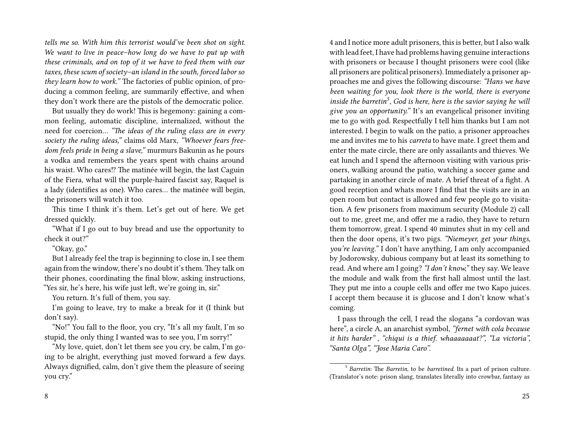*tells me so. With him this terrorist would've been shot on sight. We want to live in peace–how long do we have to put up with these criminals, and on top of it we have to feed them with our taxes, these scum of society–an island in the south, forced labor so they learn how to work."* The factories of public opinion, of producing a common feeling, are summarily effective, and when they don't work there are the pistols of the democratic police.

But usually they do work! This is hegemony: gaining a common feeling, automatic discipline, internalized, without the need for coercion… *"The ideas of the ruling class are in every society the ruling ideas,"* claims old Marx, *"Whoever fears freedom feels pride in being a slave,"* murmurs Bakunin as he pours a vodka and remembers the years spent with chains around his waist. Who cares!? The matinée will begin, the last Caguin of the Fiera, what will the purple-haired fascist say, Raquel is a lady (identifies as one). Who cares… the matinée will begin, the prisoners will watch it too.

This time I think it's them. Let's get out of here. We get dressed quickly.

"What if I go out to buy bread and use the opportunity to check it out?"

"Okay, go."

But I already feel the trap is beginning to close in, I see them again from the window, there's no doubt it's them. They talk on their phones, coordinating the final blow, asking instructions, "Yes sir, he's here, his wife just left, we're going in, sir."

You return. It's full of them, you say.

I'm going to leave, try to make a break for it (I think but don't say).

"No!" You fall to the floor, you cry, "It's all my fault, I'm so stupid, the only thing I wanted was to see you, I'm sorry!"

"My love, quiet, don't let them see you cry, be calm, I'm going to be alright, everything just moved forward a few days. Always dignified, calm, don't give them the pleasure of seeing you cry."

4 and I notice more adult prisoners, this is better, but I also walk with lead feet, I have had problems having genuine interactions with prisoners or because I thought prisoners were cool (like all prisoners are political prisoners). Immediately a prisoner approaches me and gives the following discourse: *"Hans we have been waiting for you, look there is the world, there is everyone inside the barretin<sup>5</sup> , God is here, here is the savior saying he will give you an opportunity."* It's an evangelical prisoner inviting me to go with god. Respectfully I tell him thanks but I am not interested. I begin to walk on the patio, a prisoner approaches me and invites me to his *carreta* to have mate. I greet them and enter the mate circle, there are only assailants and thieves. We eat lunch and I spend the afternoon visiting with various prisoners, walking around the patio, watching a soccer game and partaking in another circle of mate. A brief threat of a fight. A good reception and whats more I find that the visits are in an open room but contact is allowed and few people go to visitation. A few prisoners from maximum security (Module 2) call out to me, greet me, and offer me a radio, they have to return them tomorrow, great. I spend 40 minutes shut in my cell and then the door opens, it's two pigs. *"Niemeyer, get your things, you're leaving."* I don't have anything, I am only accompanied by Jodorowsky, dubious company but at least its something to read. And where am I going? *"I don't know,"* they say. We leave the module and walk from the first hall almost until the last. They put me into a couple cells and offer me two Kapo juices. I accept them because it is glucose and I don't know what's coming.

I pass through the cell, I read the slogans "a cordovan was here", a circle A, an anarchist symbol, *"fernet with cola because it hits harder" , "chiqui is a thief. whaaaaaaat?", "La victoria", "Santa Olga", "Jose Maria Caro".*

<sup>5</sup> *Barretin:* The *Barretin*, to be *barretined.* Its a part of prison culture. (Translator's note: prison slang, translates literally into crowbar, fantasy as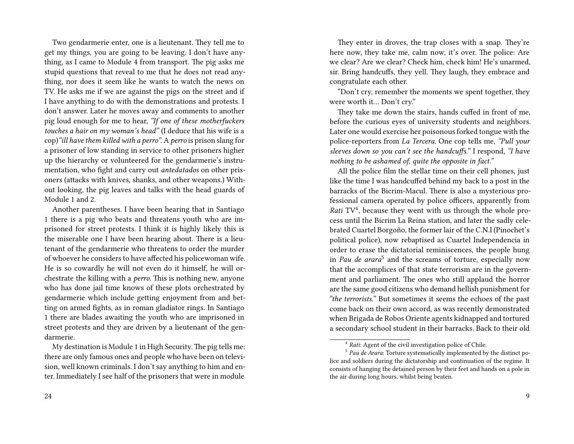Two gendarmerie enter, one is a lieutenant. They tell me to get my things, you are going to be leaving. I don't have anything, as I came to Module 4 from transport. The pig asks me stupid questions that reveal to me that he does not read anything, nor does it seem like he wants to watch the news on TV. He asks me if we are against the pigs on the street and if I have anything to do with the demonstrations and protests. I don't answer. Later he moves away and comments to another pig loud enough for me to hear, *"If one of these motherfuckers touches a hair on my woman's head"* (I deduce that his wife is a cop)*"ill have them killed with a perro".*A*perro* is prison slang for a prisoner of low standing in service to other prisoners higher up the hierarchy or volunteered for the gendarmerie's instrumentation, who fight and carry out *antedatados* on other prisoners (attacks with knives, shanks, and other weapons.) Without looking, the pig leaves and talks with the head guards of Module 1 and 2.

Another parentheses. I have been hearing that in Santiago 1 there is a pig who beats and threatens youth who are imprisoned for street protests. I think it is highly likely this is the miserable one I have been hearing about. There is a lieutenant of the gendarmerie who threatens to order the murder of whoever he considers to have affected his policewoman wife. He is so cowardly he will not even do it himself, he will orchestrate the killing with a *perro*. This is nothing new, anyone who has done jail time knows of these plots orchestrated by gendarmerie which include getting enjoyment from and betting on armed fights, as in roman gladiator rings. In Santiago 1 there are blades awaiting the youth who are imprisoned in street protests and they are driven by a lieutenant of the gendarmerie.

They enter in droves, the trap closes with a snap. They're here now, they take me, calm now, it's over. The police: Are we clear? Are we clear? Check him, check him! He's unarmed, sir. Bring handcuffs, they yell. They laugh, they embrace and congratulate each other.

"Don't cry, remember the moments we spent together, they were worth it… Don't cry."

They take me down the stairs, hands cuffed in front of me, before the curious eyes of university students and neighbors. Later one would exercise her poisonous forked tongue with the police-reporters from *La Tercera*. One cop tells me, *"Pull your sleeves down so you can't see the handcuffs."* I respond, *"I have nothing to be ashamed of, quite the opposite in fact."*

All the police film the stellar time on their cell phones, just like the time I was handcuffed behind my back to a post in the barracks of the Bicrim-Macul. There is also a mysterious professional camera operated by police officers, apparently from Rati TV<sup>4</sup>, because they went with us through the whole process until the Bicrim La Reina station, and later the sadly celebrated Cuartel Borgoño, the former lair of the C.N.I (Pinochet's political police), now rebaptised as Cuartel Independencia in order to erase the dictatorial reminiscences, the people hung in *Pau de arara*<sup>5</sup> and the screams of torture, especially now that the accomplices of that state terrorism are in the government and parliament. The ones who still applaud the horror are the same good citizens who demand hellish punishment for *"the terrorists."* But sometimes it seems the echoes of the past come back on their own accord, as was recently demonstrated when Brigada de Robos Oriente agents kidnapped and tortured a secondary school student in their barracks. Back to their old

My destination is Module 1 in High Security.The pig tells me: there are only famous ones and people who have been on television, well known criminals. I don't say anything to him and enter. Immediately I see half of the prisoners that were in module

<sup>4</sup> *Rati*: Agent of the civil investigation police of Chile.

<sup>5</sup> *Pau de Arara*: Torture systematically implemented by the distinct police and soldiers during the dictatorship and continuation of the regime. It consists of hanging the detained person by their feet and hands on a pole in the air during long hours, whilst being beaten.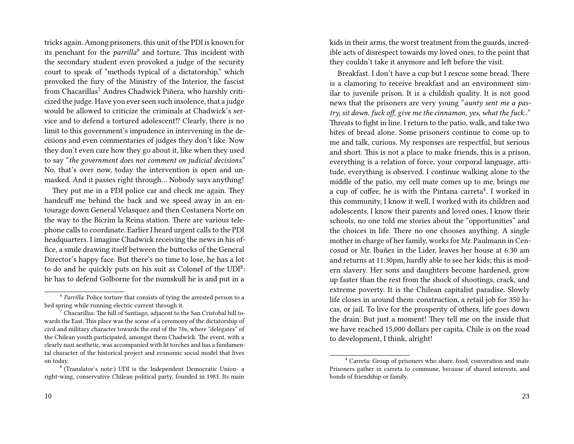tricks again. Among prisoners, this unit of the PDI is known for its penchant for the *parrilla<sup>6</sup>* and torture. This incident with the secondary student even provoked a judge of the security court to speak of "methods typical of a dictatorship," which provoked the fury of the Ministry of the Interior, the fascist from Chacarillas<sup>7</sup> Andres Chadwick Piñera, who harshly criticized the judge. Have you ever seen such insolence, that a judge would be allowed to criticize the criminals at Chadwick's service and to defend a tortured adolescent!? Clearly, there is no limit to this government's impudence in intervening in the decisions and even commentaries of judges they don't like. Now they don't even care how they go about it, like when they used to say "*the government does not comment on judicial decisions*." No, that's over now, today the intervention is open and unmasked. And it passes right through… Nobody says anything!

They put me in a PDI police car and check me again. They handcuff me behind the back and we speed away in an entourage down General Velasquez and then Costanera Norte on the way to the Bicrim la Reina station. There are various telephone calls to coordinate. Earlier I heard urgent calls to the PDI headquarters. I imagine Chadwick receiving the news in his office, a smile drawing itself between the buttocks of the General Director's happy face. But there's no time to lose, he has a lot to do and he quickly puts on his suit as Colonel of the UDI<sup>8</sup>: he has to defend Golborne for the numskull he is and put in a

kids in their arms, the worst treatment from the guards, incredible acts of disrespect towards my loved ones, to the point that they couldn't take it anymore and left before the visit.

Breakfast. I don't have a cup but I rescue some bread. There is a clamoring to receive breakfast and an environment similar to juvenile prison. It is a childish quality. It is not good news that the prisoners are very young "*aunty sent me a pastry, sit down, fuck off, give me the cinnamon, yes, what the fuck..*" Threats to fight in line. I return to the patio, walk, and take two bites of bread alone. Some prisoners continue to come up to me and talk, curious. My responses are respectful, but serious and short. This is not a place to make friends, this is a prison, everything is a relation of force, your corporal language, attitude, everything is observed. I continue walking alone to the middle of the patio, my cell mate comes up to me, brings me a cup of coffee, he is with the Pintana carreta<sup>4</sup>. I worked in this community, I know it well, I worked with its children and adolescents, I know their parents and loved ones, I know their schools, no one told me stories about the "opportunities" and the choices in life. There no one chooses anything. A single mother in charge of her family, works for Mr. Paulmann in Cencosud or Mr. Ibañez in the Lider, leaves her house at 6:30 am and returns at 11:30pm, hardly able to see her kids; this is modern slavery. Her sons and daughters become hardened, grow up faster than the rest from the shock of shootings, crack, and extreme poverty. It is the Chilean capitalist paradise. Slowly life closes in around them: construction, a retail job for 350 lucas, or jail. To live for the prosperity of others, life goes down the drain. But just a moment! They tell me on the inside that we have reached 15,000 dollars per capita. Chile is on the road to development, I think, alright!

<sup>&</sup>lt;sup>6</sup> Parrilla: Police torture that consists of tying the arrested person to a bed spring while running electric current through it.

 $7$  Chacarillas: The hill of Santiago, adjacent to the San Cristobal hill towards the East. This place was the scene of a ceremony of the dictatorship of civil and military character towards the end of the 70s, where "delegates" of the Chilean youth participated, amongst them Chadwick. The event, with a clearly nazi aesthetic, was accompanied with lit torches and has a fundamental character of the historical project and economic social model that lives on today.

<sup>8</sup> (Translator's note:) UDI is the Independent Democratic Union- a right-wing, conservative Chilean political party, founded in 1983. Its main

<sup>4</sup> Carreta: Group of prisoners who share, food, converation and mate. Prisoners gather in carreta to commune, because of shared interests, and bonds of friendship or family.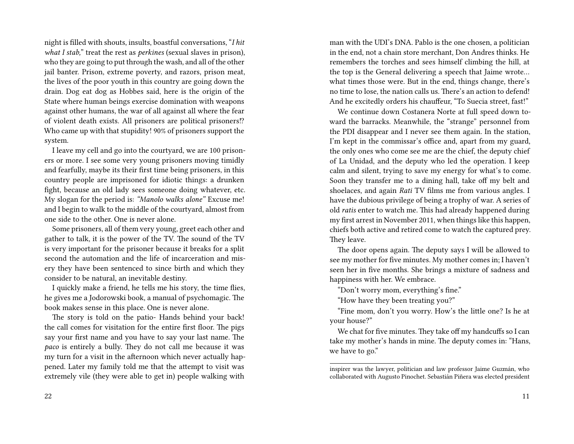night is filled with shouts, insults, boastful conversations, "*I hit what I stab,*" treat the rest as *perkines* (sexual slaves in prison), who they are going to put through the wash, and all of the other jail banter. Prison, extreme poverty, and razors, prison meat, the lives of the poor youth in this country are going down the drain. Dog eat dog as Hobbes said, here is the origin of the State where human beings exercise domination with weapons against other humans, the war of all against all where the fear of violent death exists. All prisoners are political prisoners!? Who came up with that stupidity! 90% of prisoners support the system.

I leave my cell and go into the courtyard, we are 100 prisoners or more. I see some very young prisoners moving timidly and fearfully, maybe its their first time being prisoners, in this country people are imprisoned for idiotic things: a drunken fight, because an old lady sees someone doing whatever, etc. My slogan for the period is: *"Manolo walks alone"* Excuse me! and I begin to walk to the middle of the courtyard, almost from one side to the other. One is never alone.

Some prisoners, all of them very young, greet each other and gather to talk, it is the power of the TV. The sound of the TV is very important for the prisoner because it breaks for a split second the automation and the life of incarceration and misery they have been sentenced to since birth and which they consider to be natural, an inevitable destiny.

I quickly make a friend, he tells me his story, the time flies, he gives me a Jodorowski book, a manual of psychomagic. The book makes sense in this place. One is never alone.

The story is told on the patio- Hands behind your back! the call comes for visitation for the entire first floor. The pigs say your first name and you have to say your last name. The *paco* is entirely a bully. They do not call me because it was my turn for a visit in the afternoon which never actually happened. Later my family told me that the attempt to visit was extremely vile (they were able to get in) people walking with

man with the UDI's DNA. Pablo is the one chosen, a politician in the end, not a chain store merchant, Don Andres thinks. He remembers the torches and sees himself climbing the hill, at the top is the General delivering a speech that Jaime wrote… what times those were. But in the end, things change, there's no time to lose, the nation calls us. There's an action to defend! And he excitedly orders his chauffeur, "To Suecia street, fast!"

We continue down Costanera Norte at full speed down toward the barracks. Meanwhile, the "strange" personnel from the PDI disappear and I never see them again. In the station, I'm kept in the commissar's office and, apart from my guard, the only ones who come see me are the chief, the deputy chief of La Unidad, and the deputy who led the operation. I keep calm and silent, trying to save my energy for what's to come. Soon they transfer me to a dining hall, take off my belt and shoelaces, and again *Rati* TV films me from various angles. I have the dubious privilege of being a trophy of war. A series of old *ratis* enter to watch me. This had already happened during my first arrest in November 2011, when things like this happen, chiefs both active and retired come to watch the captured prey. They leave.

The door opens again. The deputy says I will be allowed to see my mother for five minutes. My mother comes in; I haven't seen her in five months. She brings a mixture of sadness and happiness with her. We embrace.

"Don't worry mom, everything's fine."

"How have they been treating you?"

"Fine mom, don't you worry. How's the little one? Is he at your house?"

We chat for five minutes. They take off my handcuffs so I can take my mother's hands in mine. The deputy comes in: "Hans, we have to go."

inspirer was the lawyer, politician and law professor Jaime Guzmán, who collaborated with Augusto Pinochet. Sebastián Piñera was elected president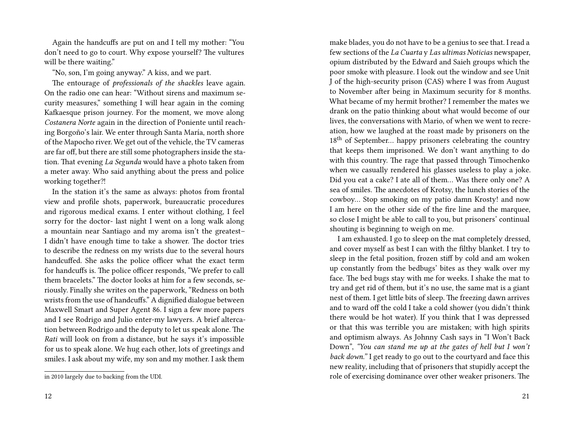Again the handcuffs are put on and I tell my mother: "You don't need to go to court. Why expose yourself? The vultures will be there waiting."

"No, son, I'm going anyway." A kiss, and we part.

The entourage of *professionals of the shackles* leave again. On the radio one can hear: "Without sirens and maximum security measures," something I will hear again in the coming Kafkaesque prison journey. For the moment, we move along *Costanera Norte* again in the direction of Poniente until reaching Borgoño's lair. We enter through Santa María, north shore of the Mapocho river. We get out of the vehicle, the TV cameras are far off, but there are still some photographers inside the station. That evening *La Segunda* would have a photo taken from a meter away. Who said anything about the press and police working together?!

In the station it's the same as always: photos from frontal view and profile shots, paperwork, bureaucratic procedures and rigorous medical exams. I enter without clothing, I feel sorry for the doctor- last night I went on a long walk along a mountain near Santiago and my aroma isn't the greatest– I didn't have enough time to take a shower. The doctor tries to describe the redness on my wrists due to the several hours handcuffed. She asks the police officer what the exact term for handcuffs is. The police officer responds, "We prefer to call them bracelets." The doctor looks at him for a few seconds, seriously. Finally she writes on the paperwork, "Redness on both wrists from the use of handcuffs." A dignified dialogue between Maxwell Smart and Super Agent 86. I sign a few more papers and I see Rodrigo and Julio enter-my lawyers. A brief altercation between Rodrigo and the deputy to let us speak alone. The *Rati* will look on from a distance, but he says it's impossible for us to speak alone. We hug each other, lots of greetings and smiles. I ask about my wife, my son and my mother. I ask them

make blades, you do not have to be a genius to see that. I read a few sections of the *La Cuarta* y *Las ultimas Noticias* newspaper, opium distributed by the Edward and Saieh groups which the poor smoke with pleasure. I look out the window and see Unit J of the high-security prison (CAS) where I was from August to November after being in Maximum security for 8 months. What became of my hermit brother? I remember the mates we drank on the patio thinking about what would become of our lives, the conversations with Mario, of when we went to recreation, how we laughed at the roast made by prisoners on the  $18<sup>th</sup>$  of September... happy prisoners celebrating the country that keeps them imprisoned. We don't want anything to do with this country. The rage that passed through Timochenko when we casually rendered his glasses useless to play a joke. Did you eat a cake? I ate all of them… Was there only one? A sea of smiles. The anecdotes of Krotsy, the lunch stories of the cowboy… Stop smoking on my patio damn Krosty! and now I am here on the other side of the fire line and the marquee, so close I might be able to call to you, but prisoners' continual shouting is beginning to weigh on me.

I am exhausted. I go to sleep on the mat completely dressed, and cover myself as best I can with the filthy blanket. I try to sleep in the fetal position, frozen stiff by cold and am woken up constantly from the bedbugs' bites as they walk over my face. The bed bugs stay with me for weeks. I shake the mat to try and get rid of them, but it's no use, the same mat is a giant nest of them. I get little bits of sleep. The freezing dawn arrives and to ward off the cold I take a cold shower (you didn't think there would be hot water). If you think that I was depressed or that this was terrible you are mistaken; with high spirits and optimism always. As Johnny Cash says in "I Won't Back Down", *"You can stand me up at the gates of hell but I won't back down."* I get ready to go out to the courtyard and face this new reality, including that of prisoners that stupidly accept the role of exercising dominance over other weaker prisoners. The

in 2010 largely due to backing from the UDI.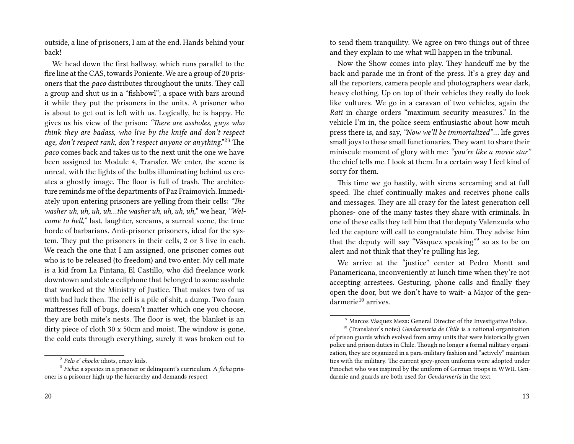outside, a line of prisoners, I am at the end. Hands behind your back!

We head down the first hallway, which runs parallel to the fire line at the CAS, towards Poniente. We are a group of 20 prisoners that the *paco* distributes throughout the units. They call a group and shut us in a "fishbowl"; a space with bars around it while they put the prisoners in the units. A prisoner who is about to get out is left with us. Logically, he is happy. He gives us his view of the prison: *"There are assholes, guys who think they are badass, who live by the knife and don't respect age, don't respect rank, don't respect anyone or anything*."<sup>23</sup> The *paco* comes back and takes us to the next unit the one we have been assigned to: Module 4, Transfer. We enter, the scene is unreal, with the lights of the bulbs illuminating behind us creates a ghostly image. The floor is full of trash. The architecture reminds me of the departments of Paz Fraimovich. Immediately upon entering prisoners are yelling from their cells: *"The washer uh, uh, uh, uh…the washer uh, uh, uh, uh,*" we hear,*"Welcome to hell,"* last, laughter, screams, a surreal scene, the true horde of barbarians. Anti-prisoner prisoners, ideal for the system. They put the prisoners in their cells, 2 or 3 live in each. We reach the one that I am assigned, one prisoner comes out who is to be released (to freedom) and two enter. My cell mate is a kid from La Pintana, El Castillo, who did freelance work downtown and stole a cellphone that belonged to some asshole that worked at the Ministry of Justice. That makes two of us with bad luck then. The cell is a pile of shit, a dump. Two foam mattresses full of bugs, doesn't matter which one you choose, they are both mite's nests. The floor is wet, the blanket is an dirty piece of cloth 30 x 50cm and moist. The window is gone, the cold cuts through everything, surely it was broken out to

to send them tranquility. We agree on two things out of three and they explain to me what will happen in the tribunal.

Now the Show comes into play. They handcuff me by the back and parade me in front of the press. It's a grey day and all the reporters, camera people and photographers wear dark, heavy clothing. Up on top of their vehicles they really do look like vultures. We go in a caravan of two vehicles, again the *Rati* in charge orders "maximum security measures." In the vehicle I'm in, the police seem enthusiastic about how mcuh press there is, and say, *"Now we'll be immortalized"*… life gives small joys to these small functionaries.They want to share their miniscule moment of glory with me: *"you're like a movie star"* the chief tells me. I look at them. In a certain way I feel kind of sorry for them.

This time we go hastily, with sirens screaming and at full speed. The chief continually makes and receives phone calls and messages. They are all crazy for the latest generation cell phones- one of the many tastes they share with criminals. In one of these calls they tell him that the deputy Valenzuela who led the capture will call to congratulate him. They advise him that the deputy will say "Vásquez speaking"<sup>9</sup> so as to be on alert and not think that they're pulling his leg.

We arrive at the "justice" center at Pedro Montt and Panamericana, inconveniently at lunch time when they're not accepting arrestees. Gesturing, phone calls and finally they open the door, but we don't have to wait- a Major of the gen $d$ armerie $10$  arrives.

<sup>2</sup> *Pelo e' choclo:* idiots, crazy kids.

<sup>3</sup> *Ficha:* a species in a prisoner or delinquent's curriculum. A *ficha* prisoner is a prisoner high up the hierarchy and demands respect

<sup>9</sup> Marcos Vásquez Meza: General Director of the Investigative Police.

<sup>10</sup> (Translator's note:) *Gendarmería de Chil*e is a national organization of prison guards which evolved from army units that were historically given police and prison duties in Chile. Though no longer a formal military organization, they are organized in a para-military fashion and "actively" maintain ties with the military. The current grey-green uniforms were adopted under Pinochet who was inspired by the uniform of German troops in WWII. Gendarmie and guards are both used for *Gendarmería* in the text.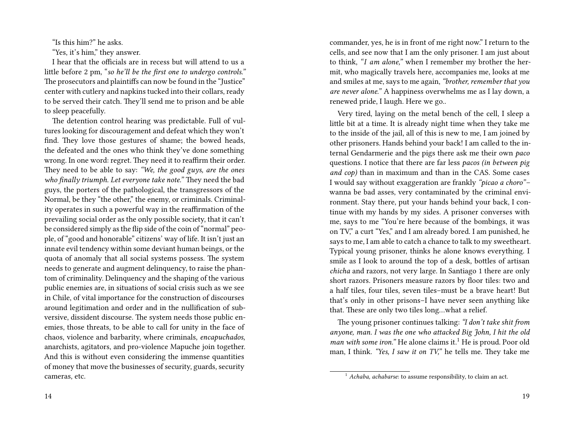"Is this him?" he asks.

"Yes, it's him," they answer.

I hear that the officials are in recess but will attend to us a little before 2 pm, "*so he'll be the first one to undergo controls."* The prosecutors and plaintiffs can now be found in the "Justice" center with cutlery and napkins tucked into their collars, ready to be served their catch. They'll send me to prison and be able to sleep peacefully.

The detention control hearing was predictable. Full of vultures looking for discouragement and defeat which they won't find. They love those gestures of shame; the bowed heads, the defeated and the ones who think they've done something wrong. In one word: regret. They need it to reaffirm their order. They need to be able to say: *"We, the good guys, are the ones who finally triumph. Let everyone take note."* They need the bad guys, the porters of the pathological, the transgressors of the Normal, be they "the other," the enemy, or criminals. Criminality operates in such a powerful way in the reaffirmation of the prevailing social order as the only possible society, that it can't be considered simply as the flip side of the coin of "normal" people, of "good and honorable" citizens' way of life. It isn't just an innate evil tendency within some deviant human beings, or the quota of anomaly that all social systems possess. The system needs to generate and augment delinquency, to raise the phantom of criminality. Delinquency and the shaping of the various public enemies are, in situations of social crisis such as we see in Chile, of vital importance for the construction of discourses around legitimation and order and in the nullification of subversive, dissident discourse. The system needs those public enemies, those threats, to be able to call for unity in the face of chaos, violence and barbarity, where criminals, *encapuchados*, anarchists, agitators, and pro-violence Mapuche join together. And this is without even considering the immense quantities of money that move the businesses of security, guards, security cameras, etc.

commander, yes, he is in front of me right now." I return to the cells, and see now that I am the only prisoner. I am just about to think, *"I am alone,"* when I remember my brother the hermit, who magically travels here, accompanies me, looks at me and smiles at me, says to me again, *"brother, remember that you are never alone."* A happiness overwhelms me as I lay down, a renewed pride, I laugh. Here we go..

Very tired, laying on the metal bench of the cell, I sleep a little bit at a time. It is already night time when they take me to the inside of the jail, all of this is new to me, I am joined by other prisoners. Hands behind your back! I am called to the internal Gendarmerie and the pigs there ask me their own *paco* questions. I notice that there are far less *pacos (in between pig and cop)* than in maximum and than in the CAS. Some cases I would say without exaggeration are frankly *"picao a choro"*– wanna be bad asses, very contaminated by the criminal environment. Stay there, put your hands behind your back, I continue with my hands by my sides. A prisoner converses with me, says to me "You're here because of the bombings, it was on TV," a curt "Yes," and I am already bored. I am punished, he says to me, I am able to catch a chance to talk to my sweetheart. Typical young prisoner, thinks he alone knows everything. I smile as I look to around the top of a desk, bottles of artisan *chicha* and razors, not very large. In Santiago 1 there are only short razors. Prisoners measure razors by floor tiles: two and a half tiles, four tiles, seven tiles–must be a brave heart! But that's only in other prisons–I have never seen anything like that. These are only two tiles long…what a relief.

The young prisoner continues talking: *"I don't take shit from anyone, man. I was the one who attacked Big John, I hit the old man with some iron.*" He alone claims it.<sup>1</sup> He is proud. Poor old man, I think. *"Yes, I saw it on TV,"* he tells me. They take me

<sup>&</sup>lt;sup>1</sup> *Achaba, achabarse*: to assume responsibility, to claim an act.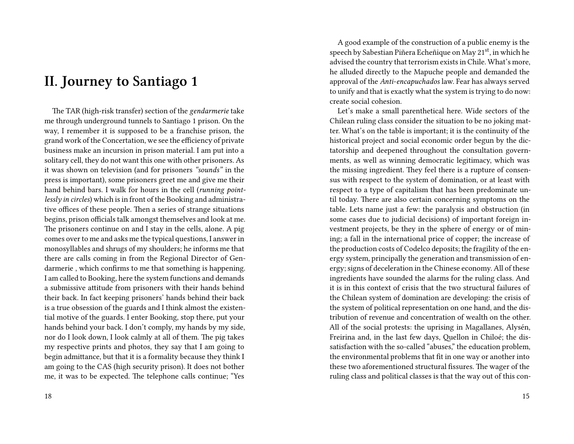# **II. Journey to Santiago 1**

The TAR (high-risk transfer) section of the *gendarmerie* take me through underground tunnels to Santiago 1 prison. On the way, I remember it is supposed to be a franchise prison, the grand work of the Concertation, we see the efficiency of private business make an incursion in prison material. I am put into a solitary cell, they do not want this one with other prisoners. As it was shown on television (and for prisoners *"sounds"* in the press is important), some prisoners greet me and give me their hand behind bars. I walk for hours in the cell (*running pointlessly in circles*) which is in front of the Booking and administrative offices of these people. Then a series of strange situations begins, prison officials talk amongst themselves and look at me. The prisoners continue on and I stay in the cells, alone. A pig comes over to me and asks me the typical questions, I answer in monosyllables and shrugs of my shoulders; he informs me that there are calls coming in from the Regional Director of Gendarmerie , which confirms to me that something is happening. I am called to Booking*,* here the system functions and demands a submissive attitude from prisoners with their hands behind their back. In fact keeping prisoners' hands behind their back is a true obsession of the guards and I think almost the existential motive of the guards. I enter Booking, stop there, put your hands behind your back. I don't comply, my hands by my side, nor do I look down, I look calmly at all of them. The pig takes my respective prints and photos, they say that I am going to begin admittance, but that it is a formality because they think I am going to the CAS (high security prison). It does not bother me, it was to be expected. The telephone calls continue; "Yes

A good example of the construction of a public enemy is the speech by Sabestian Piñera Echeñique on May 21<sup>st</sup>, in which he advised the country that terrorism exists in Chile. What's more, he alluded directly to the Mapuche people and demanded the approval of the *Anti*-*encapuchados* law. Fear has always served to unify and that is exactly what the system is trying to do now: create social cohesion.

Let's make a small parenthetical here. Wide sectors of the Chilean ruling class consider the situation to be no joking matter. What's on the table is important; it is the continuity of the historical project and social economic order begun by the dictatorship and deepened throughout the consultation governments, as well as winning democratic legitimacy, which was the missing ingredient. They feel there is a rupture of consensus with respect to the system of domination, or at least with respect to a type of capitalism that has been predominate until today. There are also certain concerning symptoms on the table. Lets name just a few: the paralysis and obstruction (in some cases due to judicial decisions) of important foreign investment projects, be they in the sphere of energy or of mining; a fall in the international price of copper; the increase of the production costs of Codelco deposits; the fragility of the energy system, principally the generation and transmission of energy; signs of deceleration in the Chinese economy. All of these ingredients have sounded the alarms for the ruling class. And it is in this context of crisis that the two structural failures of the Chilean system of domination are developing: the crisis of the system of political representation on one hand, and the distribution of revenue and concentration of wealth on the other. All of the social protests: the uprising in Magallanes, Alysén, Freirina and, in the last few days, Quellon in Chiloé; the dissatisfaction with the so-called "abuses," the education problem, the environmental problems that fit in one way or another into these two aforementioned structural fissures. The wager of the ruling class and political classes is that the way out of this con